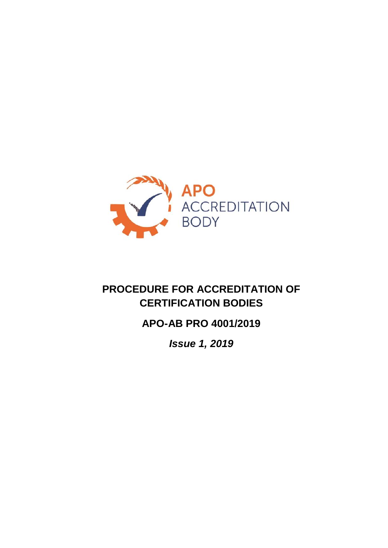

# **PROCEDURE FOR ACCREDITATION OF CERTIFICATION BODIES**

# **APO-AB PRO 4001/2019**

*Issue 1, 2019*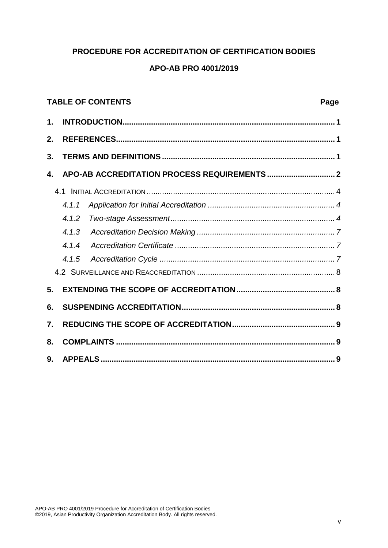# **PROCEDURE FOR ACCREDITATION OF CERTIFICATION BODIES**

# **APO-AB PRO 4001/2019**

# **TABLE OF CONTENTS** Page **1. [INTRODUCTION.................................................................................................](#page--1-0) 1 2. [REFERENCES....................................................................................................](#page--1-1) 1 3. [TERMS AND DEFINITIONS...............................................................................](#page--1-2) 1 4. APO-AB ACCREDITATION [PROCESS REQUIREMENTS...............................](#page--1-3) 2** 4.1 INITIAL ACCREDITATION [......................................................................................](#page--1-4) 4 *[4.1.1 Application for Initial Accreditation](#page--1-5) .......................................................... 4 [4.1.2 Two-stage Assessment...........................................................................](#page--1-6) 4 4.1.3 Accreditation Decision Making [...............................................................](#page--1-7) 7 4.1.4 Accreditation Certificate [.........................................................................](#page--1-8) 7 4.1.5 Accreditation Cycle [................................................................................](#page--1-9) 7* 4.2 SURVEILLANCE AND REACCREDITATION [...............................................................](#page--1-0) 8 **5. [EXTENDING THE SCOPE OF ACCREDITATION.............................................](#page--1-10) 8 6. [SUSPENDING ACCREDITATION......................................................................](#page--1-11) 8 7. [REDUCING THE SCOPE OF ACCREDITATION...............................................](#page--1-12) 9 8. COMPLAINTS [....................................................................................................](#page--1-13) 9 9. [APPEALS...........................................................................................................](#page--1-14) 9**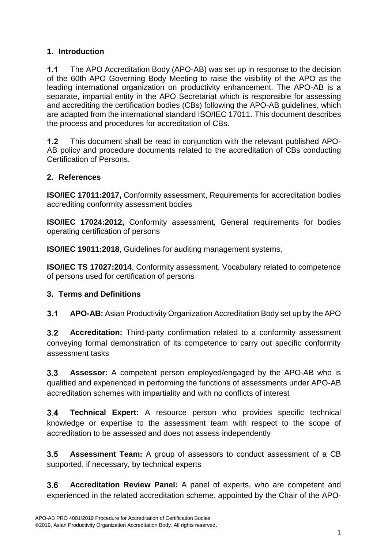# **1. Introduction**

 $1.1$ The APO Accreditation Body (APO-AB) was set up in response to the decision of the 60th APO Governing Body Meeting to raise the visibility of the APO as the leading international organization on productivity enhancement. The APO-AB is a separate, impartial entity in the APO Secretariat which is responsible for assessing and accrediting the certification bodies (CBs) following the APO-AB guidelines, which are adapted from the international standard ISO/IEC 17011. This document describes the process and procedures for accreditation of CBs.

 $1.2$ This document shall be read in conjunction with the relevant published APO-AB policy and procedure documents related to the accreditation of CBs conducting Certification of Persons.

# **2. References**

**ISO/IEC 17011:2017,** Conformity assessment, Requirements for accreditation bodies accrediting conformity assessment bodies

**ISO/IEC 17024:2012,** Conformity assessment, General requirements for bodies operating certification of persons

**ISO/IEC 19011:2018**, Guidelines for auditing management systems,

**ISO/IEC TS 17027:2014**, Conformity assessment, Vocabulary related to competence of persons used for certification of persons

# **3. Terms and Definitions**

 $3.1$ **APO-AB:** Asian Productivity Organization Accreditation Body set up by the APO

 $3.2$ **Accreditation:** Third-party confirmation related to a conformity assessment conveying formal demonstration of its competence to carry out specific conformity assessment tasks

 $3.3$ **Assessor:** A competent person employed/engaged by the APO-AB who is qualified and experienced in performing the functions of assessments under APO-AB accreditation schemes with impartiality and with no conflicts of interest

 $34$ **Technical Expert:** A resource person who provides specific technical knowledge or expertise to the assessment team with respect to the scope of accreditation to be assessed and does not assess independently

 $3.5$ **Assessment Team:** A group of assessors to conduct assessment of a CB supported, if necessary, by technical experts

 $3.6$ **Accreditation Review Panel:** A panel of experts, who are competent and experienced in the related accreditation scheme, appointed by the Chair of the APO-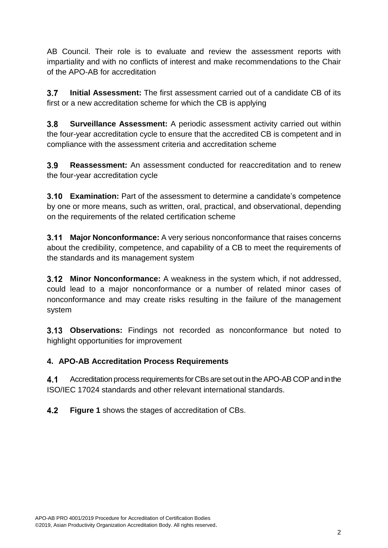AB Council. Their role is to evaluate and review the assessment reports with impartiality and with no conflicts of interest and make recommendations to the Chair of the APO-AB for accreditation

 $3.7$ **Initial Assessment:** The first assessment carried out of a candidate CB of its first or a new accreditation scheme for which the CB is applying

 $3.8$ **Surveillance Assessment:** A periodic assessment activity carried out within the four-year accreditation cycle to ensure that the accredited CB is competent and in compliance with the assessment criteria and accreditation scheme

 $3.9$ **Reassessment:** An assessment conducted for reaccreditation and to renew the four-year accreditation cycle

**3.10 Examination:** Part of the assessment to determine a candidate's competence by one or more means, such as written, oral, practical, and observational, depending on the requirements of the related certification scheme

**Major Nonconformance:** A very serious nonconformance that raises concerns  $3.11$ about the credibility, competence, and capability of a CB to meet the requirements of the standards and its management system

**Minor Nonconformance:** A weakness in the system which, if not addressed, could lead to a major nonconformance or a number of related minor cases of nonconformance and may create risks resulting in the failure of the management system

**Observations:** Findings not recorded as nonconformance but noted to highlight opportunities for improvement

# **4. APO-AB Accreditation Process Requirements**

 $4.1$ Accreditation process requirements for CBs are set out in the APO-AB COP and in the ISO/IEC 17024 standards and other relevant international standards.

 $4.2$ **Figure 1** shows the stages of accreditation of CBs.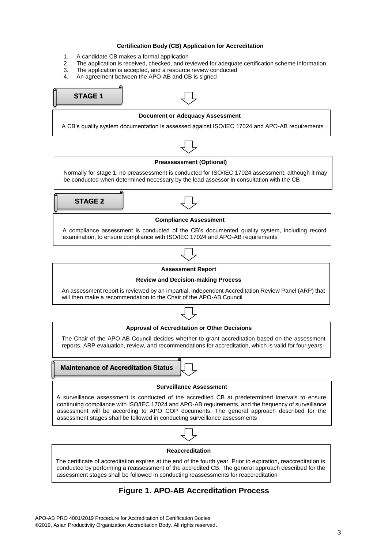

### **Figure 1. APO-AB Accreditation Process**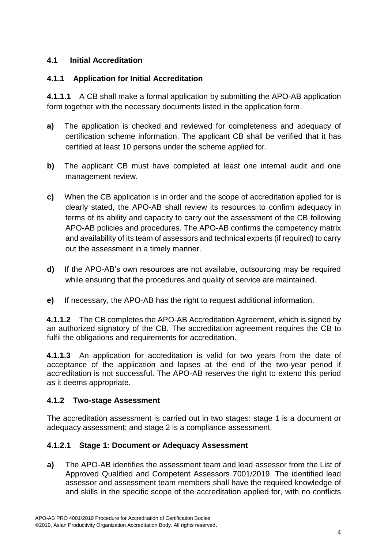# **4.1 Initial Accreditation**

# **4.1.1 Application for Initial Accreditation**

**4.1.1.1** A CB shall make a formal application by submitting the APO-AB application form together with the necessary documents listed in the application form.

- **a)** The application is checked and reviewed for completeness and adequacy of certification scheme information. The applicant CB shall be verified that it has certified at least 10 persons under the scheme applied for.
- **b)** The applicant CB must have completed at least one internal audit and one management review.
- **c)** When the CB application is in order and the scope of accreditation applied for is clearly stated, the APO-AB shall review its resources to confirm adequacy in terms of its ability and capacity to carry out the assessment of the CB following APO-AB policies and procedures. The APO-AB confirms the competency matrix and availability of its team of assessors and technical experts (if required) to carry out the assessment in a timely manner.
- **d)** If the APO-AB's own resources are not available, outsourcing may be required while ensuring that the procedures and quality of service are maintained.
- **e)** If necessary, the APO-AB has the right to request additional information.

**4.1.1.2** The CB completes the APO-AB Accreditation Agreement, which is signed by an authorized signatory of the CB. The accreditation agreement requires the CB to fulfil the obligations and requirements for accreditation.

**4.1.1.3** An application for accreditation is valid for two years from the date of acceptance of the application and lapses at the end of the two-year period if accreditation is not successful. The APO-AB reserves the right to extend this period as it deems appropriate.

# **4.1.2 Two-stage Assessment**

The accreditation assessment is carried out in two stages: stage 1 is a document or adequacy assessment; and stage 2 is a compliance assessment.

# **4.1.2.1 Stage 1: Document or Adequacy Assessment**

**a)** The APO-AB identifies the assessment team and lead assessor from the List of Approved Qualified and Competent Assessors 7001/2019. The identified lead assessor and assessment team members shall have the required knowledge of and skills in the specific scope of the accreditation applied for, with no conflicts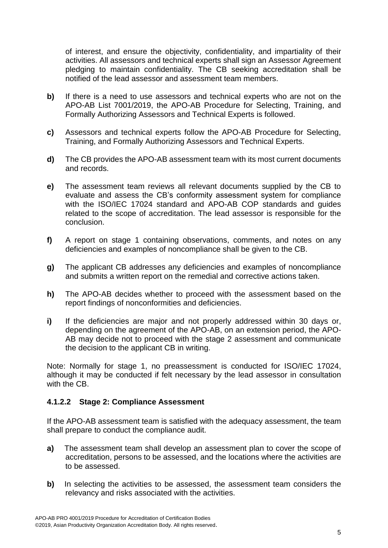of interest, and ensure the objectivity, confidentiality, and impartiality of their activities. All assessors and technical experts shall sign an Assessor Agreement pledging to maintain confidentiality. The CB seeking accreditation shall be notified of the lead assessor and assessment team members.

- **b)** If there is a need to use assessors and technical experts who are not on the APO-AB List 7001/2019, the APO-AB Procedure for Selecting, Training, and Formally Authorizing Assessors and Technical Experts is followed.
- **c)** Assessors and technical experts follow the APO-AB Procedure for Selecting, Training, and Formally Authorizing Assessors and Technical Experts.
- **d)** The CB provides the APO-AB assessment team with its most current documents and records.
- **e)** The assessment team reviews all relevant documents supplied by the CB to evaluate and assess the CB's conformity assessment system for compliance with the ISO/IEC 17024 standard and APO-AB COP standards and guides related to the scope of accreditation. The lead assessor is responsible for the conclusion.
- **f)** A report on stage 1 containing observations, comments, and notes on any deficiencies and examples of noncompliance shall be given to the CB.
- **g)** The applicant CB addresses any deficiencies and examples of noncompliance and submits a written report on the remedial and corrective actions taken.
- **h)** The APO-AB decides whether to proceed with the assessment based on the report findings of nonconformities and deficiencies.
- **i)** If the deficiencies are major and not properly addressed within 30 days or, depending on the agreement of the APO-AB, on an extension period, the APO-AB may decide not to proceed with the stage 2 assessment and communicate the decision to the applicant CB in writing.

Note: Normally for stage 1, no preassessment is conducted for ISO/IEC 17024, although it may be conducted if felt necessary by the lead assessor in consultation with the CB.

### **4.1.2.2 Stage 2: Compliance Assessment**

If the APO-AB assessment team is satisfied with the adequacy assessment, the team shall prepare to conduct the compliance audit.

- **a)** The assessment team shall develop an assessment plan to cover the scope of accreditation, persons to be assessed, and the locations where the activities are to be assessed.
- **b)** In selecting the activities to be assessed, the assessment team considers the relevancy and risks associated with the activities.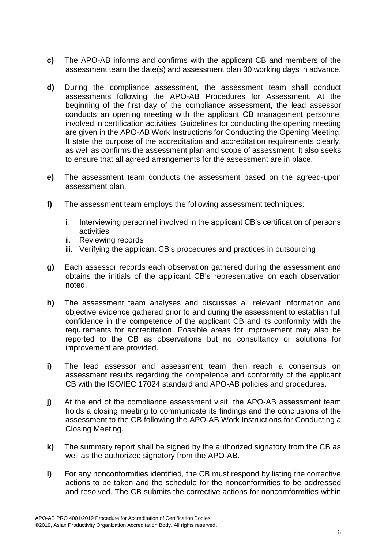- **c)** The APO-AB informs and confirms with the applicant CB and members of the assessment team the date(s) and assessment plan 30 working days in advance.
- **d)** During the compliance assessment, the assessment team shall conduct assessments following the APO-AB Procedures for Assessment. At the beginning of the first day of the compliance assessment, the lead assessor conducts an opening meeting with the applicant CB management personnel involved in certification activities. Guidelines for conducting the opening meeting are given in the APO-AB Work Instructions for Conducting the Opening Meeting. It state the purpose of the accreditation and accreditation requirements clearly, as well as confirms the assessment plan and scope of assessment. It also seeks to ensure that all agreed arrangements for the assessment are in place.
- **e)** The assessment team conducts the assessment based on the agreed-upon assessment plan.
- **f)** The assessment team employs the following assessment techniques:
	- i. Interviewing personnel involved in the applicant CB's certification of persons activities
	- ii. Reviewing records
	- iii. Verifying the applicant CB's procedures and practices in outsourcing
- **g)** Each assessor records each observation gathered during the assessment and obtains the initials of the applicant CB's representative on each observation noted.
- **h)** The assessment team analyses and discusses all relevant information and objective evidence gathered prior to and during the assessment to establish full confidence in the competence of the applicant CB and its conformity with the requirements for accreditation. Possible areas for improvement may also be reported to the CB as observations but no consultancy or solutions for improvement are provided.
- **i)** The lead assessor and assessment team then reach a consensus on assessment results regarding the competence and conformity of the applicant CB with the ISO/IEC 17024 standard and APO-AB policies and procedures.
- **j)** At the end of the compliance assessment visit, the APO-AB assessment team holds a closing meeting to communicate its findings and the conclusions of the assessment to the CB following the APO-AB Work Instructions for Conducting a Closing Meeting.
- **k)** The summary report shall be signed by the authorized signatory from the CB as well as the authorized signatory from the APO-AB.
- **l)** For any nonconformities identified, the CB must respond by listing the corrective actions to be taken and the schedule for the nonconformities to be addressed and resolved. The CB submits the corrective actions for noncomformities within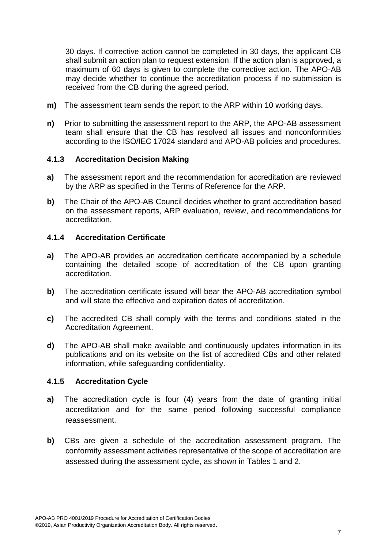30 days. If corrective action cannot be completed in 30 days, the applicant CB shall submit an action plan to request extension. If the action plan is approved, a maximum of 60 days is given to complete the corrective action. The APO-AB may decide whether to continue the accreditation process if no submission is received from the CB during the agreed period.

- **m)** The assessment team sends the report to the ARP within 10 working days.
- **n)** Prior to submitting the assessment report to the ARP, the APO-AB assessment team shall ensure that the CB has resolved all issues and nonconformities according to the ISO/IEC 17024 standard and APO-AB policies and procedures.

### **4.1.3 Accreditation Decision Making**

- **a)** The assessment report and the recommendation for accreditation are reviewed by the ARP as specified in the Terms of Reference for the ARP.
- **b)** The Chair of the APO-AB Council decides whether to grant accreditation based on the assessment reports, ARP evaluation, review, and recommendations for accreditation.

### **4.1.4 Accreditation Certificate**

- **a)** The APO-AB provides an accreditation certificate accompanied by a schedule containing the detailed scope of accreditation of the CB upon granting accreditation.
- **b)** The accreditation certificate issued will bear the APO-AB accreditation symbol and will state the effective and expiration dates of accreditation.
- **c)** The accredited CB shall comply with the terms and conditions stated in the Accreditation Agreement.
- **d)** The APO-AB shall make available and continuously updates information in its publications and on its website on the list of accredited CBs and other related information, while safeguarding confidentiality.

### **4.1.5 Accreditation Cycle**

- **a)** The accreditation cycle is four (4) years from the date of granting initial accreditation and for the same period following successful compliance reassessment.
- **b)** CBs are given a schedule of the accreditation assessment program. The conformity assessment activities representative of the scope of accreditation are assessed during the assessment cycle, as shown in Tables 1 and 2.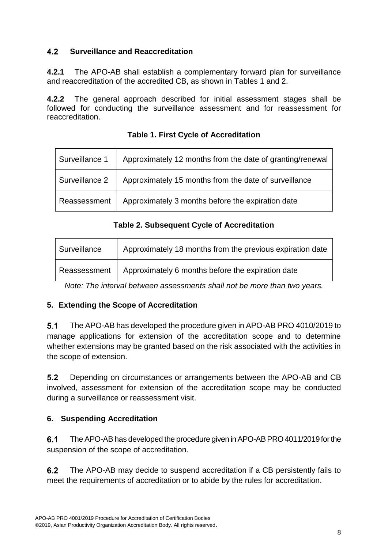#### $4.2$ **Surveillance and Reaccreditation**

**4.2.1** The APO-AB shall establish a complementary forward plan for surveillance and reaccreditation of the accredited CB, as shown in Tables 1 and 2.

**4.2.2** The general approach described for initial assessment stages shall be followed for conducting the surveillance assessment and for reassessment for reaccreditation.

| Surveillance 1 | Approximately 12 months from the date of granting/renewal |
|----------------|-----------------------------------------------------------|
| Surveillance 2 | Approximately 15 months from the date of surveillance     |
| Reassessment   | Approximately 3 months before the expiration date         |

# **Table 1. First Cycle of Accreditation**

# **Table 2. Subsequent Cycle of Accreditation**

| Surveillance | Approximately 18 months from the previous expiration date |
|--------------|-----------------------------------------------------------|
| Reassessment | Approximately 6 months before the expiration date         |

*Note: The interval between assessments shall not be more than two years.*

# **5. Extending the Scope of Accreditation**

 $5.1$ The APO-AB has developed the procedure given in APO-AB PRO 4010/2019 to manage applications for extension of the accreditation scope and to determine whether extensions may be granted based on the risk associated with the activities in the scope of extension.

 $5.2$ Depending on circumstances or arrangements between the APO-AB and CB involved, assessment for extension of the accreditation scope may be conducted during a surveillance or reassessment visit.

# **6. Suspending Accreditation**

 $6.1$ The APO-AB has developed the procedure given in APO-AB PRO 4011/2019 for the suspension of the scope of accreditation.

 $6.2$ The APO-AB may decide to suspend accreditation if a CB persistently fails to meet the requirements of accreditation or to abide by the rules for accreditation.